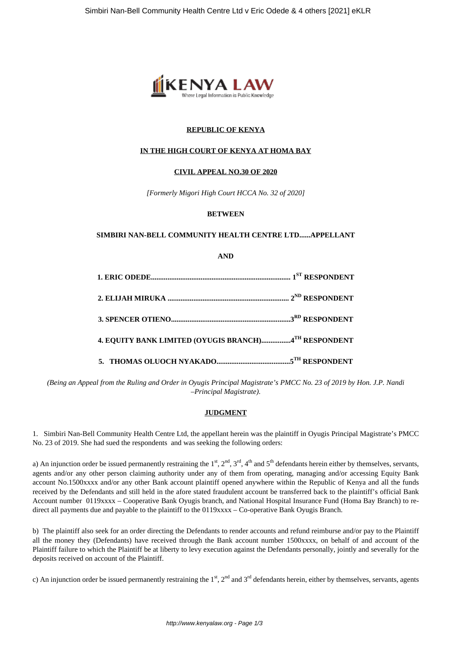

# **REPUBLIC OF KENYA**

### **IN THE HIGH COURT OF KENYA AT HOMA BAY**

### **CIVIL APPEAL NO.30 OF 2020**

*[Formerly Migori High Court HCCA No. 32 of 2020]*

### **BETWEEN**

# **SIMBIRI NAN-BELL COMMUNITY HEALTH CENTRE LTD......APPELLANT**

# **AND**

| 4. EQUITY BANK LIMITED (OYUGIS BRANCH)4TH RESPONDENT |  |
|------------------------------------------------------|--|
|                                                      |  |

*(Being an Appeal from the Ruling and Order in Oyugis Principal Magistrate's PMCC No. 23 of 2019 by Hon. J.P. Nandi –Principal Magistrate)*.

### **JUDGMENT**

1. Simbiri Nan-Bell Community Health Centre Ltd, the appellant herein was the plaintiff in Oyugis Principal Magistrate's PMCC No. 23 of 2019. She had sued the respondents and was seeking the following orders:

a) An injunction order be issued permanently restraining the  $1^{st}$ ,  $2^{nd}$ ,  $3^{rd}$ ,  $4^{th}$  and  $5^{th}$  defendants herein either by themselves, servants, agents and/or any other person claiming authority under any of them from operating, managing and/or accessing Equity Bank account No.1500xxxx and/or any other Bank account plaintiff opened anywhere within the Republic of Kenya and all the funds received by the Defendants and still held in the afore stated fraudulent account be transferred back to the plaintiff's official Bank Account number 0119xxxx – Cooperative Bank Oyugis branch, and National Hospital Insurance Fund (Homa Bay Branch) to redirect all payments due and payable to the plaintiff to the 0119xxxx – Co-operative Bank Oyugis Branch.

b) The plaintiff also seek for an order directing the Defendants to render accounts and refund reimburse and/or pay to the Plaintiff all the money they (Defendants) have received through the Bank account number 1500xxxx, on behalf of and account of the Plaintiff failure to which the Plaintiff be at liberty to levy execution against the Defendants personally, jointly and severally for the deposits received on account of the Plaintiff.

c) An injunction order be issued permanently restraining the  $1<sup>st</sup>$ ,  $2<sup>nd</sup>$  and  $3<sup>rd</sup>$  defendants herein, either by themselves, servants, agents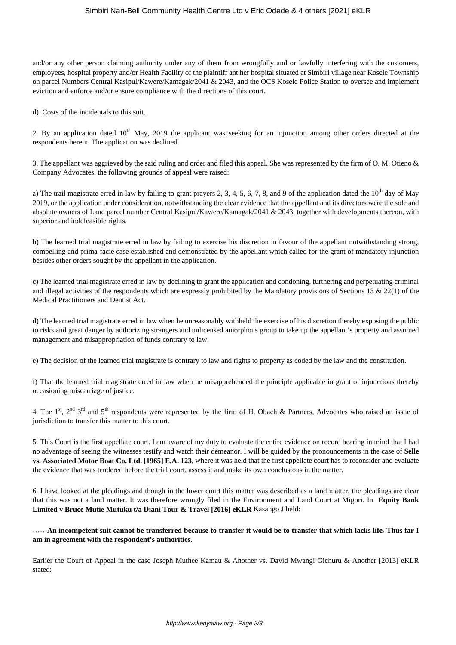and/or any other person claiming authority under any of them from wrongfully and or lawfully interfering with the customers, employees, hospital property and/or Health Facility of the plaintiff ant her hospital situated at Simbiri village near Kosele Township on parcel Numbers Central Kasipul/Kawere/Kamagak/2041 & 2043, and the OCS Kosele Police Station to oversee and implement eviction and enforce and/or ensure compliance with the directions of this court.

d) Costs of the incidentals to this suit.

2. By an application dated  $10<sup>th</sup>$  May, 2019 the applicant was seeking for an injunction among other orders directed at the respondents herein. The application was declined.

3. The appellant was aggrieved by the said ruling and order and filed this appeal. She was represented by the firm of O. M. Otieno & Company Advocates. the following grounds of appeal were raised:

a) The trail magistrate erred in law by failing to grant prayers 2, 3, 4, 5, 6, 7, 8, and 9 of the application dated the  $10<sup>th</sup>$  day of May 2019, or the application under consideration, notwithstanding the clear evidence that the appellant and its directors were the sole and absolute owners of Land parcel number Central Kasipul/Kawere/Kamagak/2041 & 2043, together with developments thereon, with superior and indefeasible rights.

b) The learned trial magistrate erred in law by failing to exercise his discretion in favour of the appellant notwithstanding strong, compelling and prima-facie case established and demonstrated by the appellant which called for the grant of mandatory injunction besides other orders sought by the appellant in the application.

c) The learned trial magistrate erred in law by declining to grant the application and condoning, furthering and perpetuating criminal and illegal activities of the respondents which are expressly prohibited by the Mandatory provisions of Sections 13 & 22(1) of the Medical Practitioners and Dentist Act.

d) The learned trial magistrate erred in law when he unreasonably withheld the exercise of his discretion thereby exposing the public to risks and great danger by authorizing strangers and unlicensed amorphous group to take up the appellant's property and assumed management and misappropriation of funds contrary to law.

e) The decision of the learned trial magistrate is contrary to law and rights to property as coded by the law and the constitution.

f) That the learned trial magistrate erred in law when he misapprehended the principle applicable in grant of injunctions thereby occasioning miscarriage of justice.

4. The 1<sup>st</sup>, 2<sup>nd</sup> 3<sup>rd</sup> and 5<sup>th</sup> respondents were represented by the firm of H. Obach & Partners, Advocates who raised an issue of jurisdiction to transfer this matter to this court.

5. This Court is the first appellate court. I am aware of my duty to evaluate the entire evidence on record bearing in mind that I had no advantage of seeing the witnesses testify and watch their demeanor. I will be guided by the pronouncements in the case of **Selle vs. Associated Motor Boat Co. Ltd. [1965] E.A. 123**, where it was held that the first appellate court has to reconsider and evaluate the evidence that was tendered before the trial court, assess it and make its own conclusions in the matter.

6. I have looked at the pleadings and though in the lower court this matter was described as a land matter, the pleadings are clear that this was not a land matter. It was therefore wrongly filed in the Environment and Land Court at Migori. In **Equity Bank Limited v Bruce Mutie Mutuku t/a Diani Tour & Travel [2016] eKLR** Kasango J held:

……**An incompetent suit cannot be transferred because to transfer it would be to transfer that which lacks life**. **Thus far I am in agreement with the respondent's authorities.**

Earlier the Court of Appeal in the case Joseph Muthee Kamau & Another vs. David Mwangi Gichuru & Another [2013] eKLR stated: